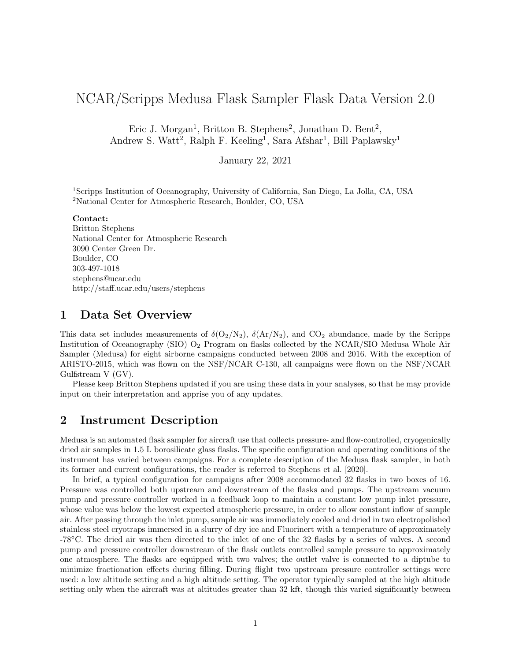# NCAR/Scripps Medusa Flask Sampler Flask Data Version 2.0

Eric J. Morgan<sup>1</sup>, Britton B. Stephens<sup>2</sup>, Jonathan D. Bent<sup>2</sup>, Andrew S. Watt<sup>2</sup>, Ralph F. Keeling<sup>1</sup>, Sara Afshar<sup>1</sup>, Bill Paplawsky<sup>1</sup>

January 22, 2021

<sup>1</sup>Scripps Institution of Oceanography, University of California, San Diego, La Jolla, CA, USA <sup>2</sup>National Center for Atmospheric Research, Boulder, CO, USA

#### Contact:

Britton Stephens National Center for Atmospheric Research 3090 Center Green Dr. Boulder, CO 303-497-1018 stephens@ucar.edu http://staff.ucar.edu/users/stephens

#### 1 Data Set Overview

This data set includes measurements of  $\delta(O_2/N_2)$ ,  $\delta(Ar/N_2)$ , and  $CO_2$  abundance, made by the Scripps Institution of Oceanography (SIO) O<sup>2</sup> Program on flasks collected by the NCAR/SIO Medusa Whole Air Sampler (Medusa) for eight airborne campaigns conducted between 2008 and 2016. With the exception of ARISTO-2015, which was flown on the NSF/NCAR C-130, all campaigns were flown on the NSF/NCAR Gulfstream V (GV).

Please keep Britton Stephens updated if you are using these data in your analyses, so that he may provide input on their interpretation and apprise you of any updates.

#### 2 Instrument Description

Medusa is an automated flask sampler for aircraft use that collects pressure- and flow-controlled, cryogenically dried air samples in 1.5 L borosilicate glass flasks. The specific configuration and operating conditions of the instrument has varied between campaigns. For a complete description of the Medusa flask sampler, in both its former and current configurations, the reader is referred to Stephens et al. [2020].

In brief, a typical configuration for campaigns after 2008 accommodated 32 flasks in two boxes of 16. Pressure was controlled both upstream and downstream of the flasks and pumps. The upstream vacuum pump and pressure controller worked in a feedback loop to maintain a constant low pump inlet pressure, whose value was below the lowest expected atmospheric pressure, in order to allow constant inflow of sample air. After passing through the inlet pump, sample air was immediately cooled and dried in two electropolished stainless steel cryotraps immersed in a slurry of dry ice and Fluorinert with a temperature of approximately -78◦C. The dried air was then directed to the inlet of one of the 32 flasks by a series of valves. A second pump and pressure controller downstream of the flask outlets controlled sample pressure to approximately one atmosphere. The flasks are equipped with two valves; the outlet valve is connected to a diptube to minimize fractionation effects during filling. During flight two upstream pressure controller settings were used: a low altitude setting and a high altitude setting. The operator typically sampled at the high altitude setting only when the aircraft was at altitudes greater than 32 kft, though this varied significantly between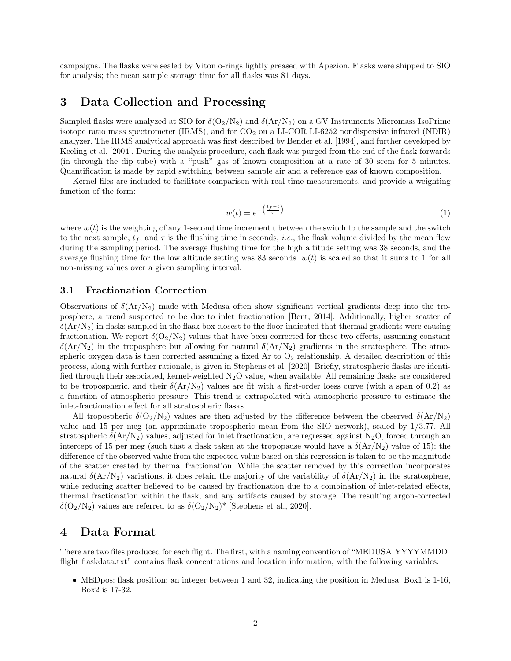campaigns. The flasks were sealed by Viton o-rings lightly greased with Apezion. Flasks were shipped to SIO for analysis; the mean sample storage time for all flasks was 81 days.

### 3 Data Collection and Processing

Sampled flasks were analyzed at SIO for  $\delta(O_2/N_2)$  and  $\delta(Ar/N_2)$  on a GV Instruments Micromass IsoPrime isotope ratio mass spectrometer (IRMS), and for  $CO<sub>2</sub>$  on a LI-COR LI-6252 nondispersive infrared (NDIR) analyzer. The IRMS analytical approach was first described by Bender et al. [1994], and further developed by Keeling et al. [2004]. During the analysis procedure, each flask was purged from the end of the flask forwards (in through the dip tube) with a "push" gas of known composition at a rate of 30 sccm for 5 minutes. Quantification is made by rapid switching between sample air and a reference gas of known composition.

Kernel files are included to facilitate comparison with real-time measurements, and provide a weighting function of the form:

$$
w(t) = e^{-\left(\frac{t_f - t}{\tau}\right)}\tag{1}
$$

where  $w(t)$  is the weighting of any 1-second time increment t between the switch to the sample and the switch to the next sample,  $t_f$ , and  $\tau$  is the flushing time in seconds, *i.e.*, the flask volume divided by the mean flow during the sampling period. The average flushing time for the high altitude setting was 38 seconds, and the average flushing time for the low altitude setting was 83 seconds.  $w(t)$  is scaled so that it sums to 1 for all non-missing values over a given sampling interval.

#### 3.1 Fractionation Correction

Observations of  $\delta(\text{Ar}/\text{N}_2)$  made with Medusa often show significant vertical gradients deep into the troposphere, a trend suspected to be due to inlet fractionation [Bent, 2014]. Additionally, higher scatter of  $\delta(\text{Ar}/\text{N}_2)$  in flasks sampled in the flask box closest to the floor indicated that thermal gradients were causing fractionation. We report  $\delta(O_2/N_2)$  values that have been corrected for these two effects, assuming constant  $\delta(\text{Ar}/\text{N}_2)$  in the troposphere but allowing for natural  $\delta(\text{Ar}/\text{N}_2)$  gradients in the stratosphere. The atmospheric oxygen data is then corrected assuming a fixed Ar to  $O<sub>2</sub>$  relationship. A detailed description of this process, along with further rationale, is given in Stephens et al. [2020]. Briefly, stratospheric flasks are identified through their associated, kernel-weighted  $N_2O$  value, when available. All remaining flasks are considered to be tropospheric, and their  $\delta(\text{Ar}/\text{N}_2)$  values are fit with a first-order loess curve (with a span of 0.2) as a function of atmospheric pressure. This trend is extrapolated with atmospheric pressure to estimate the inlet-fractionation effect for all stratospheric flasks.

All tropospheric  $\delta(O_2/N_2)$  values are then adjusted by the difference between the observed  $\delta(\rm Ar/N_2)$ value and 15 per meg (an approximate tropospheric mean from the SIO network), scaled by 1/3.77. All stratospheric  $\delta(\text{Ar}/\text{N}_2)$  values, adjusted for inlet fractionation, are regressed against N<sub>2</sub>O, forced through an intercept of 15 per meg (such that a flask taken at the tropopause would have a  $\delta(\text{Ar}/N_2)$  value of 15); the difference of the observed value from the expected value based on this regression is taken to be the magnitude of the scatter created by thermal fractionation. While the scatter removed by this correction incorporates natural  $\delta(\text{Ar}/N_2)$  variations, it does retain the majority of the variability of  $\delta(\text{Ar}/N_2)$  in the stratosphere. while reducing scatter believed to be caused by fractionation due to a combination of inlet-related effects, thermal fractionation within the flask, and any artifacts caused by storage. The resulting argon-corrected  $\delta(O_2/N_2)$  values are referred to as  $\delta(O_2/N_2)^*$  [Stephens et al., 2020].

### 4 Data Format

There are two files produced for each flight. The first, with a naming convention of "MEDUSA YYYYMMDD flight flaskdata.txt" contains flask concentrations and location information, with the following variables:

• MEDpos: flask position; an integer between 1 and 32, indicating the position in Medusa. Box1 is 1-16, Box2 is 17-32.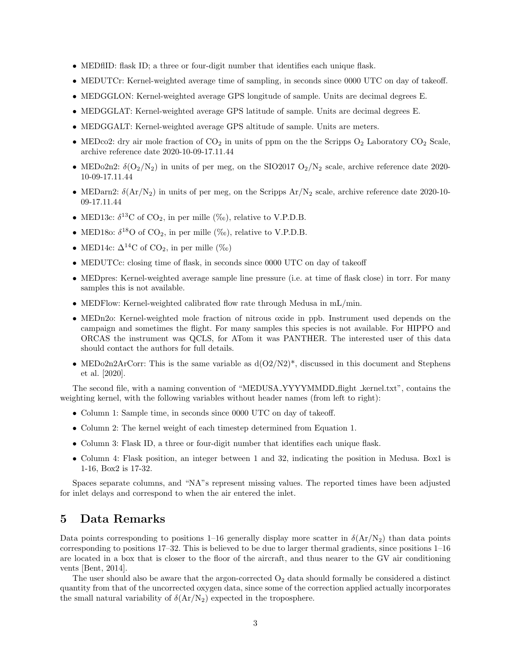- MEDflID: flask ID; a three or four-digit number that identifies each unique flask.
- MEDUTCr: Kernel-weighted average time of sampling, in seconds since 0000 UTC on day of takeoff.
- MEDGGLON: Kernel-weighted average GPS longitude of sample. Units are decimal degrees E.
- MEDGGLAT: Kernel-weighted average GPS latitude of sample. Units are decimal degrees E.
- MEDGGALT: Kernel-weighted average GPS altitude of sample. Units are meters.
- MEDco2: dry air mole fraction of  $CO_2$  in units of ppm on the the Scripps  $O_2$  Laboratory  $CO_2$  Scale, archive reference date 2020-10-09-17.11.44
- MEDo2n2:  $\delta(O_2/N_2)$  in units of per meg, on the SIO2017  $O_2/N_2$  scale, archive reference date 2020-10-09-17.11.44
- MEDarn2:  $\delta(\text{Ar}/\text{N}_2)$  in units of per meg, on the Scripps  $\text{Ar}/\text{N}_2$  scale, archive reference date 2020-10-09-17.11.44
- MED13c:  $\delta^{13}$ C of CO<sub>2</sub>, in per mille (%o), relative to V.P.D.B.
- MED180:  $\delta^{18}$ O of CO<sub>2</sub>, in per mille (‰), relative to V.P.D.B.
- MED14c:  $\Delta^{14}$ C of CO<sub>2</sub>, in per mille (‰)
- MEDUTCc: closing time of flask, in seconds since 0000 UTC on day of takeoff
- MEDpres: Kernel-weighted average sample line pressure (i.e. at time of flask close) in torr. For many samples this is not available.
- MEDFlow: Kernel-weighted calibrated flow rate through Medusa in mL/min.
- MEDn2o: Kernel-weighted mole fraction of nitrous oxide in ppb. Instrument used depends on the campaign and sometimes the flight. For many samples this species is not available. For HIPPO and ORCAS the instrument was QCLS, for ATom it was PANTHER. The interested user of this data should contact the authors for full details.
- MEDo2n2ArCorr: This is the same variable as  $d(O2/N2)^*$ , discussed in this document and Stephens et al. [2020].

The second file, with a naming convention of "MEDUSA\_YYYYMMDD\_flight \_kernel.txt", contains the weighting kernel, with the following variables without header names (from left to right):

- Column 1: Sample time, in seconds since 0000 UTC on day of takeoff.
- Column 2: The kernel weight of each timestep determined from Equation 1.
- Column 3: Flask ID, a three or four-digit number that identifies each unique flask.
- Column 4: Flask position, an integer between 1 and 32, indicating the position in Medusa. Box1 is 1-16, Box2 is 17-32.

Spaces separate columns, and "NA"s represent missing values. The reported times have been adjusted for inlet delays and correspond to when the air entered the inlet.

### 5 Data Remarks

Data points corresponding to positions 1–16 generally display more scatter in  $\delta(Ar/N_2)$  than data points corresponding to positions 17–32. This is believed to be due to larger thermal gradients, since positions 1–16 are located in a box that is closer to the floor of the aircraft, and thus nearer to the GV air conditioning vents [Bent, 2014].

The user should also be aware that the argon-corrected  $O<sub>2</sub>$  data should formally be considered a distinct quantity from that of the uncorrected oxygen data, since some of the correction applied actually incorporates the small natural variability of  $\delta(\text{Ar}/\text{N}_2)$  expected in the troposphere.